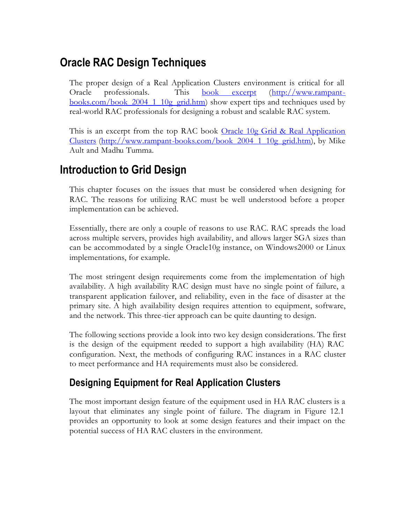# **Oracle RAC Design Techniques**

The proper design of a Real Application Clusters environment is critical for all Oracle professionals. This book excerpt (http://www.rampantbooks.com/book\_2004\_1\_10g\_grid.htm) show expert tips and techniques used by real-world RAC professionals for designing a robust and scalable RAC system.

This is an excerpt from the top RAC book Oracle 10g Grid & Real Application Clusters (http://www.rampant-books.com/book\_2004\_1\_10g\_grid.htm), by Mike Ault and Madhu Tumma.

# **Introduction to Grid Design**

This chapter focuses on the issues that must be considered when designing for RAC. The reasons for utilizing RAC must be well understood before a proper implementation can be achieved.

Essentially, there are only a couple of reasons to use RAC. RAC spreads the load across multiple servers, provides high availability, and allows larger SGA sizes than can be accommodated by a single Oracle10g instance, on Windows2000 or Linux implementations, for example.

The most stringent design requirements come from the implementation of high availability. A high availability RAC design must have no single point of failure, a transparent application failover, and reliability, even in the face of disaster at the primary site. A high availability design requires attention to equipment, software, and the network. This three-tier approach can be quite daunting to design.

The following sections provide a look into two key design considerations. The first is the design of the equipment needed to support a high availability (HA) RAC configuration. Next, the methods of configuring RAC instances in a RAC cluster to meet performance and HA requirements must also be considered.

### **Designing Equipment for Real Application Clusters**

The most important design feature of the equipment used in HA RAC clusters is a layout that eliminates any single point of failure. The diagram in Figure 12.1 provides an opportunity to look at some design features and their impact on the potential success of HA RAC clusters in the environment.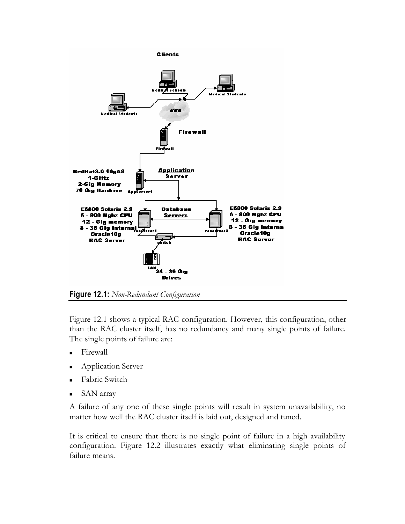

**Figure 12.1:** *Non-Redundant Configuration*

Figure 12.1 shows a typical RAC configuration. However, this configuration, other than the RAC cluster itself, has no redundancy and many single points of failure. The single points of failure are:

- Firewall
- <sup>n</sup> Application Server
- Fabric Switch
- SAN array

A failure of any one of these single points will result in system unavailability, no matter how well the RAC cluster itself is laid out, designed and tuned.

It is critical to ensure that there is no single point of failure in a high availability configuration. Figure 12.2 illustrates exactly what eliminating single points of failure means.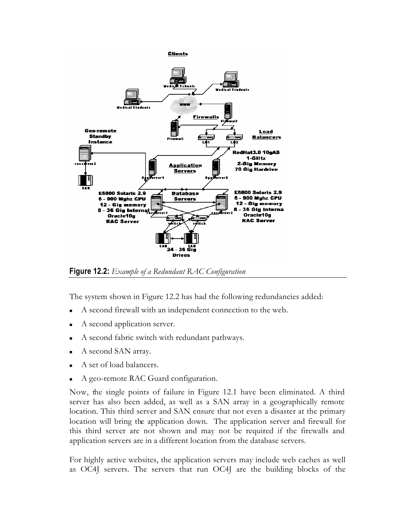

**Figure 12.2:** *Example of a Redundant RAC Configuration*

The system shown in Figure 12.2 has had the following redundancies added:

- <sup>n</sup> A second firewall with an independent connection to the web.
- A second application server.
- <sup>n</sup> A second fabric switch with redundant pathways.
- A second SAN array.
- A set of load balancers.
- <sup>n</sup> A geo-remote RAC Guard configuration.

Now, the single points of failure in Figure 12.1 have been eliminated. A third server has also been added, as well as a SAN array in a geographically remote location. This third server and SAN ensure that not even a disaster at the primary location will bring the application down. The application server and firewall for this third server are not shown and may not be required if the firewalls and application servers are in a different location from the database servers.

For highly active websites, the application servers may include web caches as well as OC4J servers. The servers that run OC4J are the building blocks of the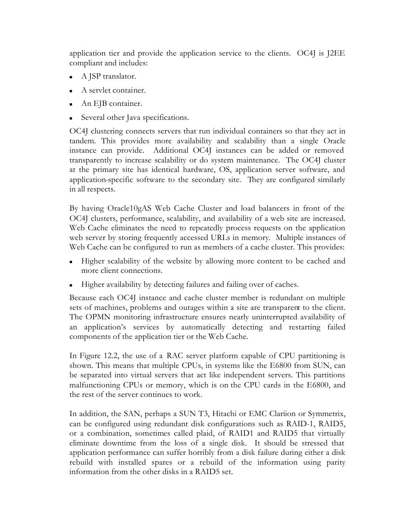application tier and provide the application service to the clients. OC4J is J2EE compliant and includes:

- <sup>n</sup> A JSP translator.
- A servlet container.
- An EJB container.
- Several other Java specifications.

OC4J clustering connects servers that run individual containers so that they act in tandem. This provides more availability and scalability than a single Oracle instance can provide. Additional OC4J instances can be added or removed transparently to increase scalability or do system maintenance. The OC4J cluster at the primary site has identical hardware, OS, application server software, and application-specific software to the secondary site. They are configured similarly in all respects.

By having Oracle10gAS Web Cache Cluster and load balancers in front of the OC4J clusters, performance, scalability, and availability of a web site are increased. Web Cache eliminates the need to repeatedly process requests on the application web server by storing frequently accessed URLs in memory. Multiple instances of Web Cache can be configured to run as members of a cache cluster. This provides:

- Higher scalability of the website by allowing more content to be cached and more client connections.
- Higher availability by detecting failures and failing over of caches.

Because each OC4J instance and cache cluster member is redundant on multiple sets of machines, problems and outages within a site are transparent to the client. The OPMN monitoring infrastructure ensures nearly uninterrupted availability of an application's services by automatically detecting and restarting failed components of the application tier or the Web Cache.

In Figure 12.2, the use of a RAC server platform capable of CPU partitioning is shown. This means that multiple CPUs, in systems like the E6800 from SUN, can be separated into virtual servers that act like independent servers. This partitions malfunctioning CPUs or memory, which is on the CPU cards in the E6800, and the rest of the server continues to work.

In addition, the SAN, perhaps a SUN T3, Hitachi or EMC Clariion or Symmetrix, can be configured using redundant disk configurations such as RAID-1, RAID5, or a combination, sometimes called plaid, of RAID1 and RAID5 that virtually eliminate downtime from the loss of a single disk. It should be stressed that application performance can suffer horribly from a disk failure during either a disk rebuild with installed spares or a rebuild of the information using parity information from the other disks in a RAID5 set.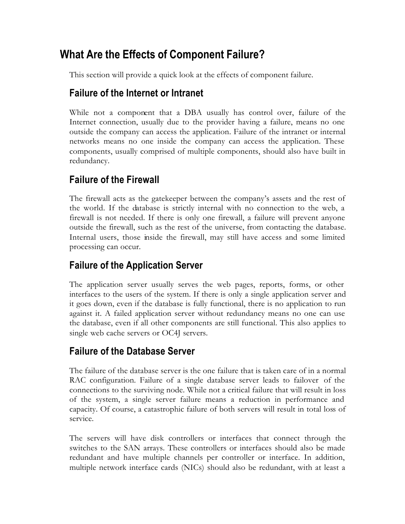# **What Are the Effects of Component Failure?**

This section will provide a quick look at the effects of component failure.

### **Failure of the Internet or Intranet**

While not a component that a DBA usually has control over, failure of the Internet connection, usually due to the provider having a failure, means no one outside the company can access the application. Failure of the intranet or internal networks means no one inside the company can access the application. These components, usually comprised of multiple components, should also have built in redundancy.

# **Failure of the Firewall**

The firewall acts as the gatekeeper between the company's assets and the rest of the world. If the database is strictly internal with no connection to the web, a firewall is not needed. If there is only one firewall, a failure will prevent anyone outside the firewall, such as the rest of the universe, from contacting the database. Internal users, those inside the firewall, may still have access and some limited processing can occur.

## **Failure of the Application Server**

The application server usually serves the web pages, reports, forms, or other interfaces to the users of the system. If there is only a single application server and it goes down, even if the database is fully functional, there is no application to run against it. A failed application server without redundancy means no one can use the database, even if all other components are still functional. This also applies to single web cache servers or OC4J servers.

## **Failure of the Database Server**

The failure of the database server is the one failure that is taken care of in a normal RAC configuration. Failure of a single database server leads to failover of the connections to the surviving node. While not a critical failure that will result in loss of the system, a single server failure means a reduction in performance and capacity. Of course, a catastrophic failure of both servers will result in total loss of service.

The servers will have disk controllers or interfaces that connect through the switches to the SAN arrays. These controllers or interfaces should also be made redundant and have multiple channels per controller or interface. In addition, multiple network interface cards (NICs) should also be redundant, with at least a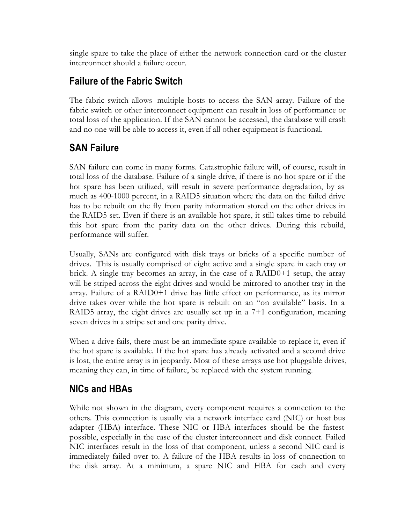single spare to take the place of either the network connection card or the cluster interconnect should a failure occur.

### **Failure of the Fabric Switch**

The fabric switch allows multiple hosts to access the SAN array. Failure of the fabric switch or other interconnect equipment can result in loss of performance or total loss of the application. If the SAN cannot be accessed, the database will crash and no one will be able to access it, even if all other equipment is functional.

## **SAN Failure**

SAN failure can come in many forms. Catastrophic failure will, of course, result in total loss of the database. Failure of a single drive, if there is no hot spare or if the hot spare has been utilized, will result in severe performance degradation, by as much as 400-1000 percent, in a RAID5 situation where the data on the failed drive has to be rebuilt on the fly from parity information stored on the other drives in the RAID5 set. Even if there is an available hot spare, it still takes time to rebuild this hot spare from the parity data on the other drives. During this rebuild, performance will suffer.

Usually, SANs are configured with disk trays or bricks of a specific number of drives. This is usually comprised of eight active and a single spare in each tray or brick. A single tray becomes an array, in the case of a RAID0+1 setup, the array will be striped across the eight drives and would be mirrored to another tray in the array. Failure of a RAID0+1 drive has little effect on performance, as its mirror drive takes over while the hot spare is rebuilt on an "on available" basis. In a RAID5 array, the eight drives are usually set up in a 7+1 configuration, meaning seven drives in a stripe set and one parity drive.

When a drive fails, there must be an immediate spare available to replace it, even if the hot spare is available. If the hot spare has already activated and a second drive is lost, the entire array is in jeopardy. Most of these arrays use hot pluggable drives, meaning they can, in time of failure, be replaced with the system running.

### **NICs and HBAs**

While not shown in the diagram, every component requires a connection to the others. This connection is usually via a network interface card (NIC) or host bus adapter (HBA) interface. These NIC or HBA interfaces should be the fastest possible, especially in the case of the cluster interconnect and disk connect. Failed NIC interfaces result in the loss of that component, unless a second NIC card is immediately failed over to. A failure of the HBA results in loss of connection to the disk array. At a minimum, a spare NIC and HBA for each and every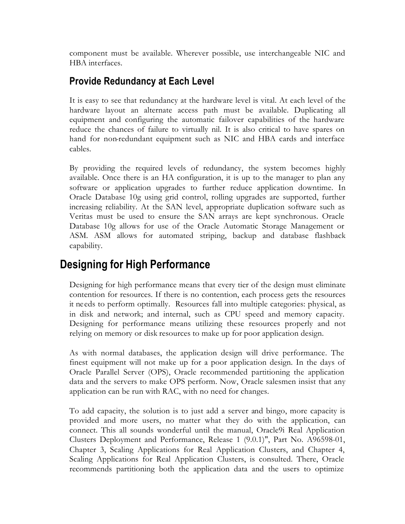component must be available. Wherever possible, use interchangeable NIC and HBA interfaces.

## **Provide Redundancy at Each Level**

It is easy to see that redundancy at the hardware level is vital. At each level of the hardware layout an alternate access path must be available. Duplicating all equipment and configuring the automatic failover capabilities of the hardware reduce the chances of failure to virtually nil. It is also critical to have spares on hand for non-redundant equipment such as NIC and HBA cards and interface cables.

By providing the required levels of redundancy, the system becomes highly available. Once there is an HA configuration, it is up to the manager to plan any software or application upgrades to further reduce application downtime. In Oracle Database 10g using grid control, rolling upgrades are supported, further increasing reliability. At the SAN level, appropriate duplication software such as Veritas must be used to ensure the SAN arrays are kept synchronous. Oracle Database 10g allows for use of the Oracle Automatic Storage Management or ASM. ASM allows for automated striping, backup and database flashback capability.

# **Designing for High Performance**

Designing for high performance means that every tier of the design must eliminate contention for resources. If there is no contention, each process gets the resources it needs to perform optimally. Resources fall into multiple categories: physical, as in disk and network; and internal, such as CPU speed and memory capacity. Designing for performance means utilizing these resources properly and not relying on memory or disk resources to make up for poor application design.

As with normal databases, the application design will drive performance. The finest equipment will not make up for a poor application design. In the days of Oracle Parallel Server (OPS), Oracle recommended partitioning the application data and the servers to make OPS perform. Now, Oracle salesmen insist that any application can be run with RAC, with no need for changes.

To add capacity, the solution is to just add a server and bingo, more capacity is provided and more users, no matter what they do with the application, can connect. This all sounds wonderful until the manual, Oracle9i Real Application Clusters Deployment and Performance, Release 1 (9.0.1)", Part No. A96598-01, Chapter 3, Scaling Applications for Real Application Clusters, and Chapter 4, Scaling Applications for Real Application Clusters, is consulted. There, Oracle recommends partitioning both the application data and the users to optimize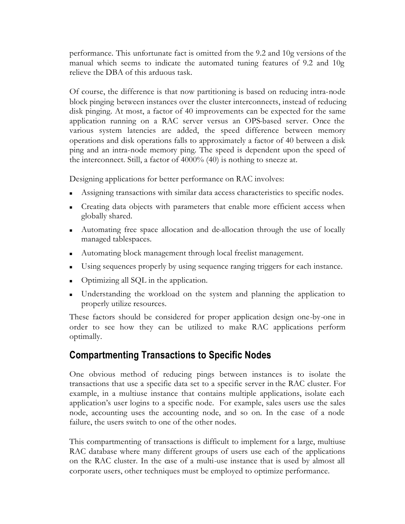performance. This unfortunate fact is omitted from the 9.2 and 10g versions of the manual which seems to indicate the automated tuning features of 9.2 and 10g relieve the DBA of this arduous task.

Of course, the difference is that now partitioning is based on reducing intra-node block pinging between instances over the cluster interconnects, instead of reducing disk pinging. At most, a factor of 40 improvements can be expected for the same application running on a RAC server versus an OPS-based server. Once the various system latencies are added, the speed difference between memory operations and disk operations falls to approximately a factor of 40 between a disk ping and an intra-node memory ping. The speed is dependent upon the speed of the interconnect. Still, a factor of 4000% (40) is nothing to sneeze at.

Designing applications for better performance on RAC involves:

- Assigning transactions with similar data access characteristics to specific nodes.
- <sup>n</sup> Creating data objects with parameters that enable more efficient access when globally shared.
- <sup>n</sup> Automating free space allocation and de-allocation through the use of locally managed tablespaces.
- <sup>n</sup> Automating block management through local freelist management.
- Using sequences properly by using sequence ranging triggers for each instance.
- <sup>n</sup> Optimizing all SQL in the application.
- <sup>n</sup> Understanding the workload on the system and planning the application to properly utilize resources.

These factors should be considered for proper application design one-by-one in order to see how they can be utilized to make RAC applications perform optimally.

### **Compartmenting Transactions to Specific Nodes**

One obvious method of reducing pings between instances is to isolate the transactions that use a specific data set to a specific server in the RAC cluster. For example, in a multiuse instance that contains multiple applications, isolate each application's user logins to a specific node. For example, sales users use the sales node, accounting uses the accounting node, and so on. In the case of a node failure, the users switch to one of the other nodes.

This compartmenting of transactions is difficult to implement for a large, multiuse RAC database where many different groups of users use each of the applications on the RAC cluster. In the case of a multi-use instance that is used by almost all corporate users, other techniques must be employed to optimize performance.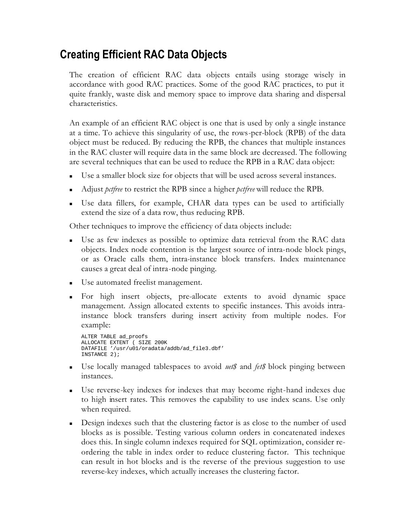# **Creating Efficient RAC Data Objects**

The creation of efficient RAC data objects entails using storage wisely in accordance with good RAC practices. Some of the good RAC practices, to put it quite frankly, waste disk and memory space to improve data sharing and dispersal characteristics.

An example of an efficient RAC object is one that is used by only a single instance at a time. To achieve this singularity of use, the rows-per-block (RPB) of the data object must be reduced. By reducing the RPB, the chances that multiple instances in the RAC cluster will require data in the same block are decreased. The following are several techniques that can be used to reduce the RPB in a RAC data object:

- Use a smaller block size for objects that will be used across several instances.
- <sup>n</sup> Adjust *pctfree* to restrict the RPB since a higher *pctfree* will reduce the RPB.
- Use data fillers, for example, CHAR data types can be used to artificially extend the size of a data row, thus reducing RPB.

Other techniques to improve the efficiency of data objects include:

- <sup>n</sup> Use as few indexes as possible to optimize data retrieval from the RAC data objects. Index node contention is the largest source of intra-node block pings, or as Oracle calls them, intra-instance block transfers. Index maintenance causes a great deal of intra-node pinging.
- <sup>n</sup> Use automated freelist management.
- <sup>n</sup> For high insert objects, pre-allocate extents to avoid dynamic space management. Assign allocated extents to specific instances. This avoids intrainstance block transfers during insert activity from multiple nodes. For example:

```
ALTER TABLE ad_proofs
ALLOCATE EXTENT ( SIZE 200K
DATAFILE '/usr/u01/oradata/addb/ad_file3.dbf'
INSTANCE 2);
```
- <sup>n</sup> Use locally managed tablespaces to avoid *uet\$* and *fet\$* block pinging between instances.
- <sup>n</sup> Use reverse-key indexes for indexes that may become right-hand indexes due to high insert rates. This removes the capability to use index scans. Use only when required.
- <sup>n</sup> Design indexes such that the clustering factor is as close to the number of used blocks as is possible. Testing various column orders in concatenated indexes does this. In single column indexes required for SQL optimization, consider reordering the table in index order to reduce clustering factor. This technique can result in hot blocks and is the reverse of the previous suggestion to use reverse-key indexes, which actually increases the clustering factor.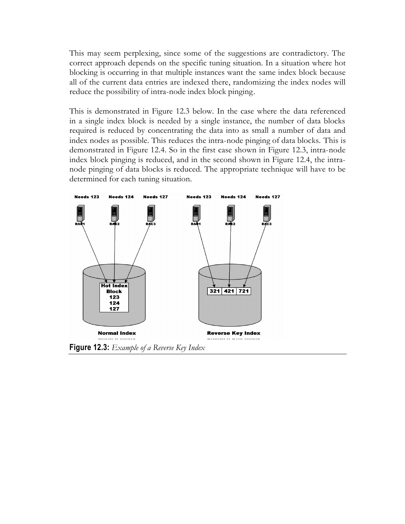This may seem perplexing, since some of the suggestions are contradictory. The correct approach depends on the specific tuning situation. In a situation where hot blocking is occurring in that multiple instances want the same index block because all of the current data entries are indexed there, randomizing the index nodes will reduce the possibility of intra-node index block pinging.

This is demonstrated in Figure 12.3 below. In the case where the data referenced in a single index block is needed by a single instance, the number of data blocks required is reduced by concentrating the data into as small a number of data and index nodes as possible. This reduces the intra-node pinging of data blocks. This is demonstrated in Figure 12.4. So in the first case shown in Figure 12.3, intra-node index block pinging is reduced, and in the second shown in Figure 12.4, the intranode pinging of data blocks is reduced. The appropriate technique will have to be determined for each tuning situation.



**Figure 12.3:** *Example of a Reverse Key Index*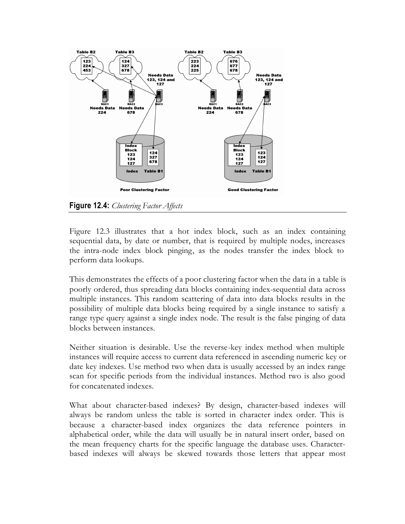

**Figure 12.4:** *Clustering Factor Affects*

Figure 12.3 illustrates that a hot index block, such as an index containing sequential data, by date or number, that is required by multiple nodes, increases the intra-node index block pinging, as the nodes transfer the index block to perform data lookups.

This demonstrates the effects of a poor clustering factor when the data in a table is poorly ordered, thus spreading data blocks containing index-sequential data across multiple instances. This random scattering of data into data blocks results in the possibility of multiple data blocks being required by a single instance to satisfy a range type query against a single index node. The result is the false pinging of data blocks between instances.

Neither situation is desirable. Use the reverse-key index method when multiple instances will require access to current data referenced in ascending numeric key or date key indexes. Use method two when data is usually accessed by an index range scan for specific periods from the individual instances. Method two is also good for concatenated indexes.

What about character-based indexes? By design, character-based indexes will always be random unless the table is sorted in character index order. This is because a character-based index organizes the data reference pointers in alphabetical order, while the data will usually be in natural insert order, based on the mean frequency charts for the specific language the database uses. Characterbased indexes will always be skewed towards those letters that appear most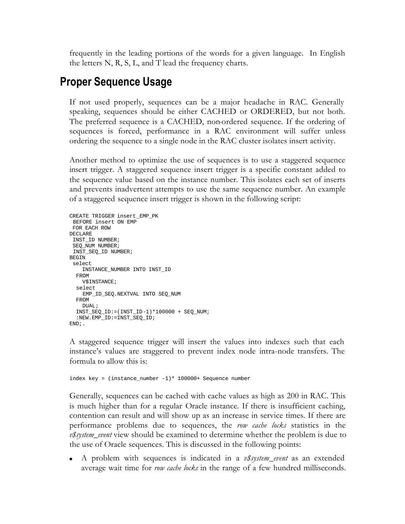frequently in the leading portions of the words for a given language. In English the letters N, R, S, L, and T lead the frequency charts.

# **Proper Sequence Usage**

If not used properly, sequences can be a major headache in RAC. Generally speaking, sequences should be either CACHED or ORDERED, but not both. The preferred sequence is a CACHED, non-ordered sequence. If the ordering of sequences is forced, performance in a RAC environment will suffer unless ordering the sequence to a single node in the RAC cluster isolates insert activity.

Another method to optimize the use of sequences is to use a staggered sequence insert trigger. A staggered sequence insert trigger is a specific constant added to the sequence value based on the instance number. This isolates each set of inserts and prevents inadvertent attempts to use the same sequence number. An example of a staggered sequence insert trigger is shown in the following script:

```
CREATE TRIGGER insert_EMP_PK
 BEFORE insert ON EMP 
 FOR EACH ROW
DECLARE
 INST_ID NUMBER;
  SEQ_NUM NUMBER;
  INST_SEQ_ID NUMBER;
BEGIN
 select 
    INSTANCE_NUMBER INTO INST_ID 
   FROM 
   V$INSTANCE;
   select 
    EMP_ID_SEQ.NEXTVAL INTO SEQ_NUM
   FROM 
   DIJAL;
   INST_SEQ_ID:=(INST_ID-1)*100000 + SEQ_NUM;
   :NEW.EMP_ID:=INST_SEQ_ID;
END;.
```
A staggered sequence trigger will insert the values into indexes such that each instance's values are staggered to prevent index node intra-node transfers. The formula to allow this is:

index key = (instance\_number -1)\* 100000+ Sequence number

Generally, sequences can be cached with cache values as high as 200 in RAC. This is much higher than for a regular Oracle instance. If there is insufficient caching, contention can result and will show up as an increase in service times. If there are performance problems due to sequences, the *row cache locks* statistics in the *v\$system\_event* view should be examined to determine whether the problem is due to the use of Oracle sequences. This is discussed in the following points:

<sup>n</sup> A problem with sequences is indicated in a *v\$system\_event* as an extended average wait time for *row cache locks* in the range of a few hundred milliseconds.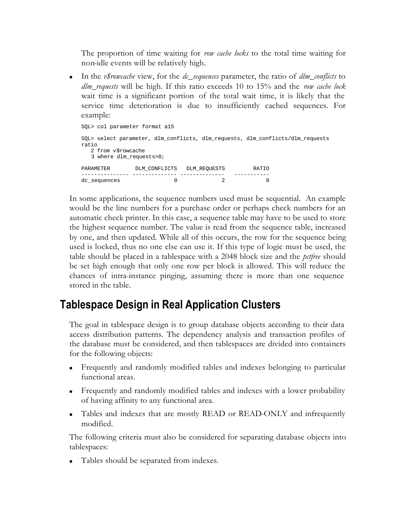The proportion of time waiting for *row cache locks* to the total time waiting for non-idle events will be relatively high.

<sup>n</sup> In the *v\$rowcache* view, for the *dc\_sequences* parameter, the ratio of *dlm\_conflicts* to *dlm\_requests* will be high. If this ratio exceeds 10 to 15% and the *row cache lock* wait time is a significant portion of the total wait time, it is likely that the service time deterioration is due to insufficiently cached sequences. For example:

```
SQL> col parameter format a15
SQL> select parameter, dlm_conflicts, dlm_requests, dlm_conflicts/dlm_requests 
ratio
   2 from v$rowcache
   3 where dlm_requests>0;
PARAMETER DLM_CONFLICTS DLM_REQUESTS RATIO
 --------------- -------------- -------------- -----------
dc_sequences 0 2 0
```
In some applications, the sequence numbers used must be sequential. An example would be the line numbers for a purchase order or perhaps check numbers for an automatic check printer. In this case, a sequence table may have to be used to store the highest sequence number. The value is read from the sequence table, increased by one, and then updated. While all of this occurs, the row for the sequence being used is locked, thus no one else can use it. If this type of logic must be used, the table should be placed in a tablespace with a 2048 block size and the *pctfree* should be set high enough that only one row per block is allowed. This will reduce the chances of intra-instance pinging, assuming there is more than one sequence stored in the table.

# **Tablespace Design in Real Application Clusters**

The goal in tablespace design is to group database objects according to their data access distribution patterns. The dependency analysis and transaction profiles of the database must be considered, and then tablespaces are divided into containers for the following objects:

- Frequently and randomly modified tables and indexes belonging to particular functional areas.
- <sup>n</sup> Frequently and randomly modified tables and indexes with a lower probability of having affinity to any functional area.
- Tables and indexes that are mostly READ or READ-ONLY and infrequently modified.

The following criteria must also be considered for separating database objects into tablespaces:

Tables should be separated from indexes.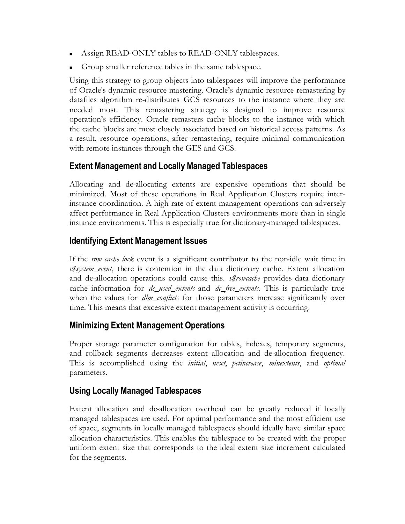- Assign READ-ONLY tables to READ-ONLY tablespaces.
- Group smaller reference tables in the same tablespace.

Using this strategy to group objects into tablespaces will improve the performance of Oracle's dynamic resource mastering. Oracle's dynamic resource remastering by datafiles algorithm re-distributes GCS resources to the instance where they are needed most. This remastering strategy is designed to improve resource operation's efficiency. Oracle remasters cache blocks to the instance with which the cache blocks are most closely associated based on historical access patterns. As a result, resource operations, after remastering, require minimal communication with remote instances through the GES and GCS.

#### **Extent Management and Locally Managed Tablespaces**

Allocating and de-allocating extents are expensive operations that should be minimized. Most of these operations in Real Application Clusters require interinstance coordination. A high rate of extent management operations can adversely affect performance in Real Application Clusters environments more than in single instance environments. This is especially true for dictionary-managed tablespaces.

#### **Identifying Extent Management Issues**

If the *row cache lock* event is a significant contributor to the non-idle wait time in *v\$system\_event*, there is contention in the data dictionary cache. Extent allocation and de-allocation operations could cause this. *v\$rowcache* provides data dictionary cache information for *dc\_used\_extents* and *dc\_free\_extents*. This is particularly true when the values for *dlm\_conflicts* for those parameters increase significantly over time. This means that excessive extent management activity is occurring.

### **Minimizing Extent Management Operations**

Proper storage parameter configuration for tables, indexes, temporary segments, and rollback segments decreases extent allocation and de-allocation frequency. This is accomplished using the *initial*, *next*, *pctincrease*, *minextents*, and *optimal* parameters.

### **Using Locally Managed Tablespaces**

Extent allocation and de-allocation overhead can be greatly reduced if locally managed tablespaces are used. For optimal performance and the most efficient use of space, segments in locally managed tablespaces should ideally have similar space allocation characteristics. This enables the tablespace to be created with the proper uniform extent size that corresponds to the ideal extent size increment calculated for the segments.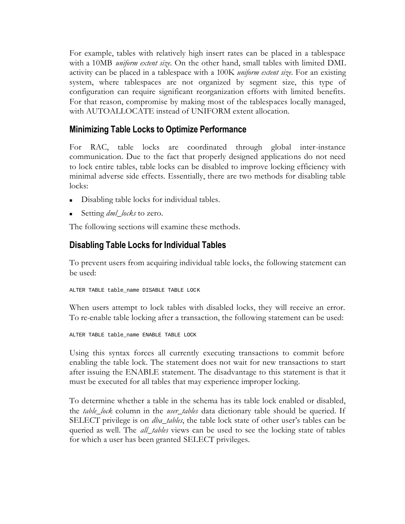For example, tables with relatively high insert rates can be placed in a tablespace with a 10MB *uniform extent size*. On the other hand, small tables with limited DML activity can be placed in a tablespace with a 100K *uniform extent size*. For an existing system, where tablespaces are not organized by segment size, this type of configuration can require significant reorganization efforts with limited benefits. For that reason, compromise by making most of the tablespaces locally managed, with AUTOALLOCATE instead of UNIFORM extent allocation.

#### **Minimizing Table Locks to Optimize Performance**

For RAC, table locks are coordinated through global inter-instance communication. Due to the fact that properly designed applications do not need to lock entire tables, table locks can be disabled to improve locking efficiency with minimal adverse side effects. Essentially, there are two methods for disabling table locks:

- Disabling table locks for individual tables.
- Setting *dml\_locks* to zero.

The following sections will examine these methods.

### **Disabling Table Locks for Individual Tables**

To prevent users from acquiring individual table locks, the following statement can be used:

ALTER TABLE table\_name DISABLE TABLE LOCK

When users attempt to lock tables with disabled locks, they will receive an error. To re-enable table locking after a transaction, the following statement can be used:

ALTER TABLE table\_name ENABLE TABLE LOCK

Using this syntax forces all currently executing transactions to commit before enabling the table lock. The statement does not wait for new transactions to start after issuing the ENABLE statement. The disadvantage to this statement is that it must be executed for all tables that may experience improper locking.

To determine whether a table in the schema has its table lock enabled or disabled, the *table\_lock* column in the *user\_tables* data dictionary table should be queried. If SELECT privilege is on *dba\_tables*, the table lock state of other user's tables can be queried as well. The *all\_tables* views can be used to see the locking state of tables for which a user has been granted SELECT privileges.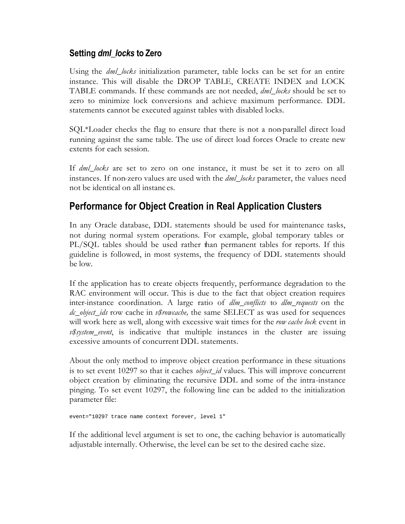### **Setting** *dml\_locks* **to Zero**

Using the *dml\_locks* initialization parameter, table locks can be set for an entire instance. This will disable the DROP TABLE, CREATE INDEX and LOCK TABLE commands. If these commands are not needed, *dml\_locks* should be set to zero to minimize lock conversions and achieve maximum performance. DDL statements cannot be executed against tables with disabled locks.

SQL\*Loader checks the flag to ensure that there is not a non-parallel direct load running against the same table. The use of direct load forces Oracle to create new extents for each session.

If *dml\_locks* are set to zero on one instance, it must be set it to zero on all instances. If non-zero values are used with the *dml\_locks* parameter, the values need not be identical on all instanc es.

### **Performance for Object Creation in Real Application Clusters**

In any Oracle database, DDL statements should be used for maintenance tasks, not during normal system operations. For example, global temporary tables or PL/SQL tables should be used rather than permanent tables for reports. If this guideline is followed, in most systems, the frequency of DDL statements should be low.

If the application has to create objects frequently, performance degradation to the RAC environment will occur. This is due to the fact that object creation requires inter-instance coordination. A large ratio of *dlm\_conflicts* to *dlm\_requests* on the *dc\_object\_ids* row cache in *v\$rowcache,* the same SELECT as was used for sequences will work here as well, along with excessive wait times for the *row cache lock* event in *v\$system\_event*, is indicative that multiple instances in the cluster are issuing excessive amounts of concurrent DDL statements.

About the only method to improve object creation performance in these situations is to set event 10297 so that it caches *object\_id* values. This will improve concurrent object creation by eliminating the recursive DDL and some of the intra-instance pinging. To set event 10297, the following line can be added to the initialization parameter file:

event="10297 trace name context forever, level 1"

If the additional level argument is set to one, the caching behavior is automatically adjustable internally. Otherwise, the level can be set to the desired cache size.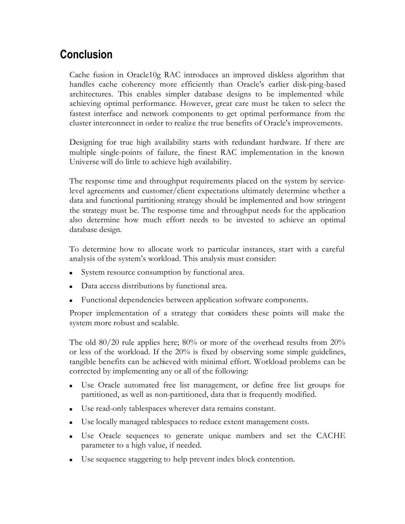# **Conclusion**

Cache fusion in Oracle10g RAC introduces an improved diskless algorithm that handles cache coherency more efficiently than Oracle's earlier disk-ping-based architectures. This enables simpler database designs to be implemented while achieving optimal performance. However, great care must be taken to select the fastest interface and network components to get optimal performance from the cluster interconnect in order to realize the true benefits of Oracle's improvements.

Designing for true high availability starts with redundant hardware. If there are multiple single-points of failure, the finest RAC implementation in the known Universe will do little to achieve high availability.

The response time and throughput requirements placed on the system by servicelevel agreements and customer/client expectations ultimately determine whether a data and functional partitioning strategy should be implemented and how stringent the strategy must be. The response time and throughput needs for the application also determine how much effort needs to be invested to achieve an optimal database design.

To determine how to allocate work to particular instances, start with a careful analysis of the system's workload. This analysis must consider:

- System resource consumption by functional area.
- Data access distributions by functional area.
- Functional dependencies between application software components.

Proper implementation of a strategy that considers these points will make the system more robust and scalable.

The old  $80/20$  rule applies here;  $80\%$  or more of the overhead results from  $20\%$ or less of the workload. If the 20% is fixed by observing some simple guidelines, tangible benefits can be achieved with minimal effort. Workload problems can be corrected by implementing any or all of the following:

- <sup>n</sup> Use Oracle automated free list management, or define free list groups for partitioned, as well as non-partitioned, data that is frequently modified.
- Use read-only tablespaces wherever data remains constant.
- Use locally managed tablespaces to reduce extent management costs.
- Use Oracle sequences to generate unique numbers and set the CACHE parameter to a high value, if needed.
- Use sequence staggering to help prevent index block contention.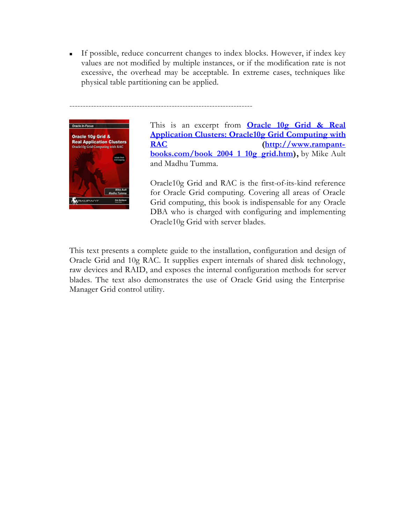If possible, reduce concurrent changes to index blocks. However, if index key values are not modified by multiple instances, or if the modification rate is not excessive, the overhead may be acceptable. In extreme cases, techniques like physical table partitioning can be applied.

--------------------------------------------------------------------



This is an excerpt from **Oracle 10g Grid & Real Application Clusters: Oracle10g Grid Computing with RAC (http://www.rampantbooks.com/book 2004 1 10g grid.htm),** by Mike Ault and Madhu Tumma.

Oracle10g Grid and RAC is the first-of-its-kind reference for Oracle Grid computing. Covering all areas of Oracle Grid computing, this book is indispensable for any Oracle DBA who is charged with configuring and implementing Oracle10g Grid with server blades.

This text presents a complete guide to the installation, configuration and design of Oracle Grid and 10g RAC. It supplies expert internals of shared disk technology, raw devices and RAID, and exposes the internal configuration methods for server blades. The text also demonstrates the use of Oracle Grid using the Enterprise Manager Grid control utility.